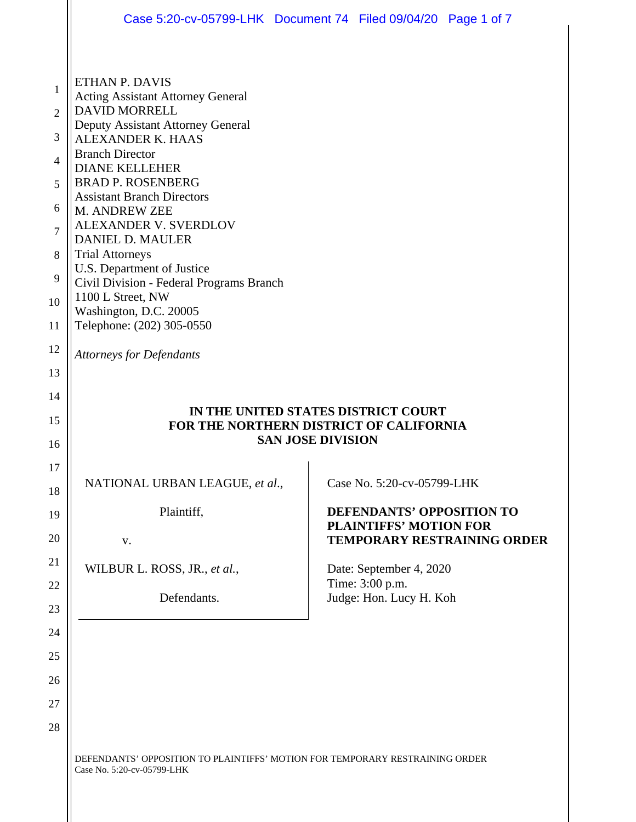|                                                              | Case 5:20-cv-05799-LHK Document 74 Filed 09/04/20 Page 1 of 7                                                                                                                                                                                                                                                                                                                                                                                                                                   |  |                                                                       |                                    |
|--------------------------------------------------------------|-------------------------------------------------------------------------------------------------------------------------------------------------------------------------------------------------------------------------------------------------------------------------------------------------------------------------------------------------------------------------------------------------------------------------------------------------------------------------------------------------|--|-----------------------------------------------------------------------|------------------------------------|
| 1<br>$\overline{2}$<br>3<br>4<br>5<br>6<br>7<br>8<br>9<br>10 | ETHAN P. DAVIS<br><b>Acting Assistant Attorney General</b><br><b>DAVID MORRELL</b><br>Deputy Assistant Attorney General<br><b>ALEXANDER K. HAAS</b><br><b>Branch Director</b><br><b>DIANE KELLEHER</b><br><b>BRAD P. ROSENBERG</b><br><b>Assistant Branch Directors</b><br>M. ANDREW ZEE<br>ALEXANDER V. SVERDLOV<br><b>DANIEL D. MAULER</b><br><b>Trial Attorneys</b><br>U.S. Department of Justice<br>Civil Division - Federal Programs Branch<br>1100 L Street, NW<br>Washington, D.C. 20005 |  |                                                                       |                                    |
| 11                                                           | Telephone: (202) 305-0550                                                                                                                                                                                                                                                                                                                                                                                                                                                                       |  |                                                                       |                                    |
| 12<br>13                                                     | <b>Attorneys for Defendants</b>                                                                                                                                                                                                                                                                                                                                                                                                                                                                 |  |                                                                       |                                    |
| 14<br>15<br>16                                               | IN THE UNITED STATES DISTRICT COURT<br>FOR THE NORTHERN DISTRICT OF CALIFORNIA<br><b>SAN JOSE DIVISION</b>                                                                                                                                                                                                                                                                                                                                                                                      |  |                                                                       |                                    |
| 17<br>18                                                     | NATIONAL URBAN LEAGUE, et al.,                                                                                                                                                                                                                                                                                                                                                                                                                                                                  |  | Case No. 5:20-cv-05799-LHK                                            |                                    |
| 19<br>20                                                     | Plaintiff,<br>V.                                                                                                                                                                                                                                                                                                                                                                                                                                                                                |  | <b>DEFENDANTS' OPPOSITION TO</b><br><b>PLAINTIFFS' MOTION FOR</b>     | <b>TEMPORARY RESTRAINING ORDER</b> |
| 21<br>22<br>23                                               | WILBUR L. ROSS, JR., et al.,<br>Defendants.                                                                                                                                                                                                                                                                                                                                                                                                                                                     |  | Date: September 4, 2020<br>Time: 3:00 p.m.<br>Judge: Hon. Lucy H. Koh |                                    |
| 24<br>25                                                     |                                                                                                                                                                                                                                                                                                                                                                                                                                                                                                 |  |                                                                       |                                    |
| 26                                                           |                                                                                                                                                                                                                                                                                                                                                                                                                                                                                                 |  |                                                                       |                                    |
| 27                                                           |                                                                                                                                                                                                                                                                                                                                                                                                                                                                                                 |  |                                                                       |                                    |
| 28                                                           |                                                                                                                                                                                                                                                                                                                                                                                                                                                                                                 |  |                                                                       |                                    |
|                                                              | DEFENDANTS' OPPOSITION TO PLAINTIFFS' MOTION FOR TEMPORARY RESTRAINING ORDER<br>Case No. 5:20-cv-05799-LHK                                                                                                                                                                                                                                                                                                                                                                                      |  |                                                                       |                                    |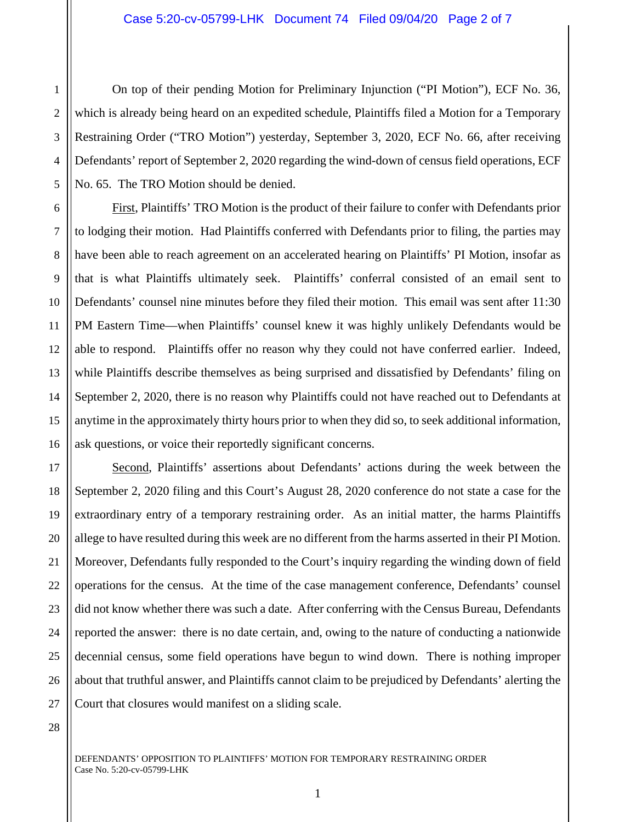2 3 4 5 On top of their pending Motion for Preliminary Injunction ("PI Motion"), ECF No. 36, which is already being heard on an expedited schedule, Plaintiffs filed a Motion for a Temporary Restraining Order ("TRO Motion") yesterday, September 3, 2020, ECF No. 66, after receiving Defendants' report of September 2, 2020 regarding the wind-down of census field operations, ECF No. 65. The TRO Motion should be denied.

First, Plaintiffs' TRO Motion is the product of their failure to confer with Defendants prior to lodging their motion. Had Plaintiffs conferred with Defendants prior to filing, the parties may have been able to reach agreement on an accelerated hearing on Plaintiffs' PI Motion, insofar as that is what Plaintiffs ultimately seek. Plaintiffs' conferral consisted of an email sent to Defendants' counsel nine minutes before they filed their motion. This email was sent after 11:30 PM Eastern Time—when Plaintiffs' counsel knew it was highly unlikely Defendants would be able to respond. Plaintiffs offer no reason why they could not have conferred earlier. Indeed, while Plaintiffs describe themselves as being surprised and dissatisfied by Defendants' filing on September 2, 2020, there is no reason why Plaintiffs could not have reached out to Defendants at anytime in the approximately thirty hours prior to when they did so, to seek additional information, ask questions, or voice their reportedly significant concerns.

18 19 20 21 22 23 24 25 26 27 Second, Plaintiffs' assertions about Defendants' actions during the week between the September 2, 2020 filing and this Court's August 28, 2020 conference do not state a case for the extraordinary entry of a temporary restraining order. As an initial matter, the harms Plaintiffs allege to have resulted during this week are no different from the harms asserted in their PI Motion. Moreover, Defendants fully responded to the Court's inquiry regarding the winding down of field operations for the census. At the time of the case management conference, Defendants' counsel did not know whether there was such a date. After conferring with the Census Bureau, Defendants reported the answer: there is no date certain, and, owing to the nature of conducting a nationwide decennial census, some field operations have begun to wind down. There is nothing improper about that truthful answer, and Plaintiffs cannot claim to be prejudiced by Defendants' alerting the Court that closures would manifest on a sliding scale.

28

1

6

7

8

9

10

11

12

13

14

15

16

17

DEFENDANTS' OPPOSITION TO PLAINTIFFS' MOTION FOR TEMPORARY RESTRAINING ORDER Case No. 5:20-cv-05799-LHK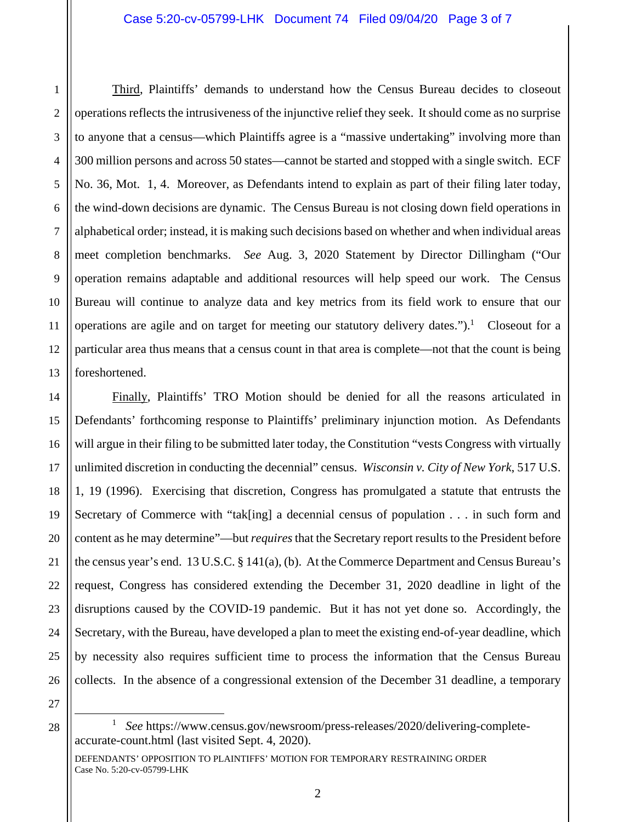2 3 4 5 6 7 8 9 10 11 12 13 Third, Plaintiffs' demands to understand how the Census Bureau decides to closeout operations reflects the intrusiveness of the injunctive relief they seek. It should come as no surprise to anyone that a census—which Plaintiffs agree is a "massive undertaking" involving more than 300 million persons and across 50 states—cannot be started and stopped with a single switch. ECF No. 36, Mot. 1, 4. Moreover, as Defendants intend to explain as part of their filing later today, the wind-down decisions are dynamic. The Census Bureau is not closing down field operations in alphabetical order; instead, it is making such decisions based on whether and when individual areas meet completion benchmarks. *See* Aug. 3, 2020 Statement by Director Dillingham ("Our operation remains adaptable and additional resources will help speed our work. The Census Bureau will continue to analyze data and key metrics from its field work to ensure that our operations are agile and on target for meeting our statutory delivery dates.").<sup>1</sup> Closeout for a particular area thus means that a census count in that area is complete—not that the count is being foreshortened.

14 15 16 18 19 20 21 22 23 24 25 26 Finally, Plaintiffs' TRO Motion should be denied for all the reasons articulated in Defendants' forthcoming response to Plaintiffs' preliminary injunction motion. As Defendants will argue in their filing to be submitted later today, the Constitution "vests Congress with virtually unlimited discretion in conducting the decennial" census. *Wisconsin v. City of New York*, 517 U.S. 1, 19 (1996). Exercising that discretion, Congress has promulgated a statute that entrusts the Secretary of Commerce with "tak[ing] a decennial census of population . . . in such form and content as he may determine"—but *requires* that the Secretary report results to the President before the census year's end. 13 U.S.C. § 141(a), (b). At the Commerce Department and Census Bureau's request, Congress has considered extending the December 31, 2020 deadline in light of the disruptions caused by the COVID-19 pandemic. But it has not yet done so. Accordingly, the Secretary, with the Bureau, have developed a plan to meet the existing end-of-year deadline, which by necessity also requires sufficient time to process the information that the Census Bureau collects. In the absence of a congressional extension of the December 31 deadline, a temporary

÷

17

1

<sup>27</sup> 28

<sup>1</sup> *See* https://www.census.gov/newsroom/press-releases/2020/delivering-completeaccurate-count.html (last visited Sept. 4, 2020).

DEFENDANTS' OPPOSITION TO PLAINTIFFS' MOTION FOR TEMPORARY RESTRAINING ORDER Case No. 5:20-cv-05799-LHK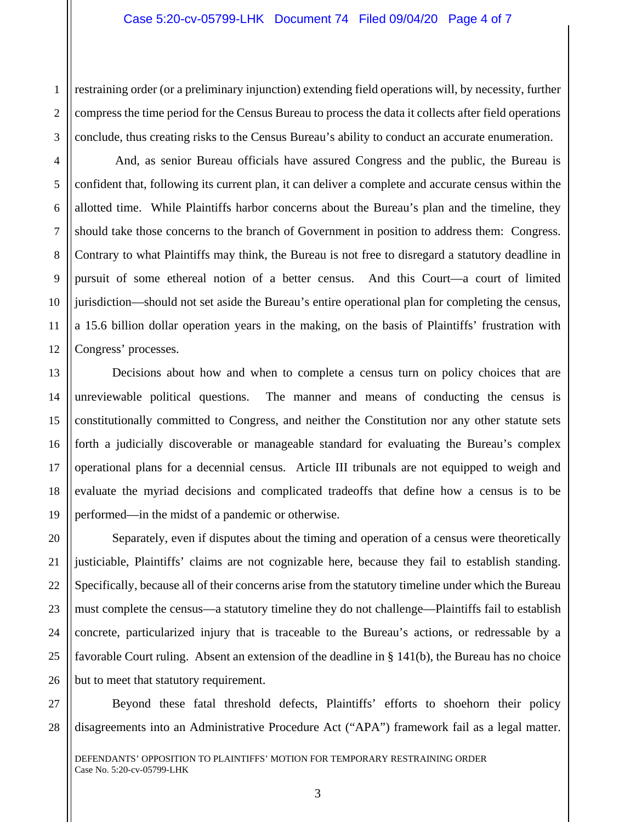1 2 3 restraining order (or a preliminary injunction) extending field operations will, by necessity, further compress the time period for the Census Bureau to process the data it collects after field operations conclude, thus creating risks to the Census Bureau's ability to conduct an accurate enumeration.

 And, as senior Bureau officials have assured Congress and the public, the Bureau is confident that, following its current plan, it can deliver a complete and accurate census within the allotted time. While Plaintiffs harbor concerns about the Bureau's plan and the timeline, they should take those concerns to the branch of Government in position to address them: Congress. Contrary to what Plaintiffs may think, the Bureau is not free to disregard a statutory deadline in pursuit of some ethereal notion of a better census. And this Court—a court of limited jurisdiction—should not set aside the Bureau's entire operational plan for completing the census, a 15.6 billion dollar operation years in the making, on the basis of Plaintiffs' frustration with Congress' processes.

 Decisions about how and when to complete a census turn on policy choices that are unreviewable political questions. The manner and means of conducting the census is constitutionally committed to Congress, and neither the Constitution nor any other statute sets forth a judicially discoverable or manageable standard for evaluating the Bureau's complex operational plans for a decennial census. Article III tribunals are not equipped to weigh and evaluate the myriad decisions and complicated tradeoffs that define how a census is to be performed—in the midst of a pandemic or otherwise.

 Separately, even if disputes about the timing and operation of a census were theoretically justiciable, Plaintiffs' claims are not cognizable here, because they fail to establish standing. Specifically, because all of their concerns arise from the statutory timeline under which the Bureau must complete the census—a statutory timeline they do not challenge—Plaintiffs fail to establish concrete, particularized injury that is traceable to the Bureau's actions, or redressable by a favorable Court ruling. Absent an extension of the deadline in § 141(b), the Bureau has no choice but to meet that statutory requirement.

 Beyond these fatal threshold defects, Plaintiffs' efforts to shoehorn their policy disagreements into an Administrative Procedure Act ("APA") framework fail as a legal matter.

DEFENDANTS' OPPOSITION TO PLAINTIFFS' MOTION FOR TEMPORARY RESTRAINING ORDER Case No. 5:20-cv-05799-LHK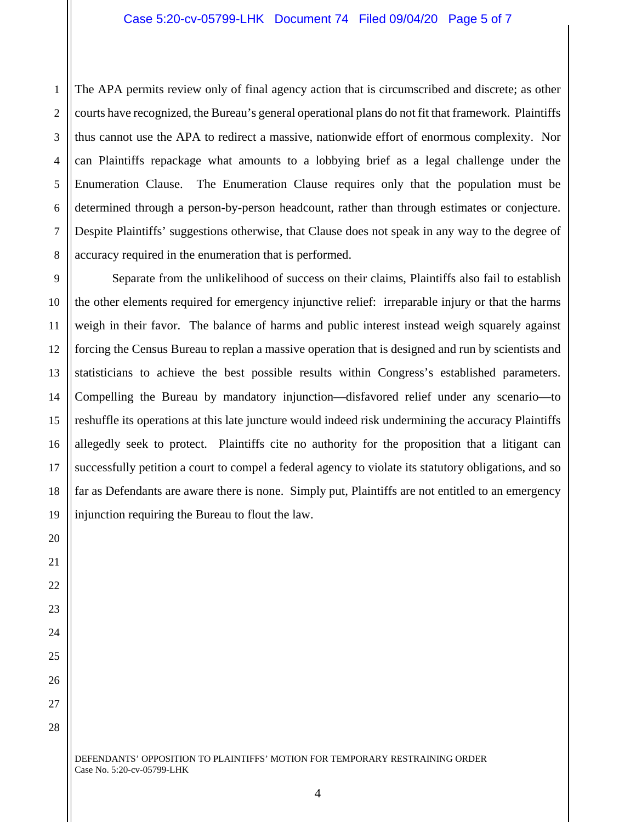1 2 3 4 5 6 7 8 The APA permits review only of final agency action that is circumscribed and discrete; as other courts have recognized, the Bureau's general operational plans do not fit that framework. Plaintiffs thus cannot use the APA to redirect a massive, nationwide effort of enormous complexity. Nor can Plaintiffs repackage what amounts to a lobbying brief as a legal challenge under the Enumeration Clause. The Enumeration Clause requires only that the population must be determined through a person-by-person headcount, rather than through estimates or conjecture. Despite Plaintiffs' suggestions otherwise, that Clause does not speak in any way to the degree of accuracy required in the enumeration that is performed.

9 12 13 16 18 19 Separate from the unlikelihood of success on their claims, Plaintiffs also fail to establish the other elements required for emergency injunctive relief: irreparable injury or that the harms weigh in their favor. The balance of harms and public interest instead weigh squarely against forcing the Census Bureau to replan a massive operation that is designed and run by scientists and statisticians to achieve the best possible results within Congress's established parameters. Compelling the Bureau by mandatory injunction—disfavored relief under any scenario—to reshuffle its operations at this late juncture would indeed risk undermining the accuracy Plaintiffs allegedly seek to protect. Plaintiffs cite no authority for the proposition that a litigant can successfully petition a court to compel a federal agency to violate its statutory obligations, and so far as Defendants are aware there is none. Simply put, Plaintiffs are not entitled to an emergency injunction requiring the Bureau to flout the law.

10

11

14

15

17

20

21

22

23

24

25

26

27

28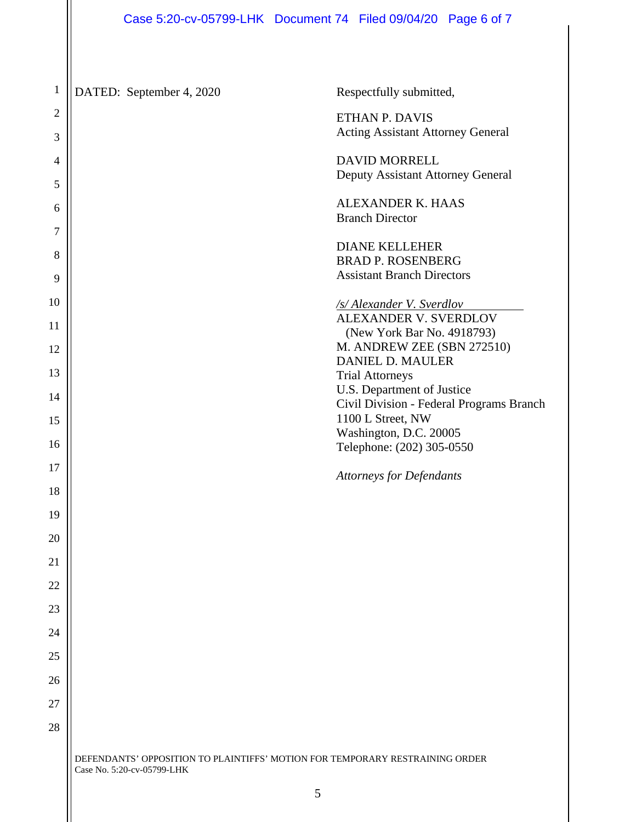## Case 5:20-cv-05799-LHK Document 74 Filed 09/04/20 Page 6 of 7

DEFENDANTS' OPPOSITION TO PLAINTIFFS' MOTION FOR TEMPORARY RESTRAINING ORDER Case No. 5:20-cv-05799-LHK 1 2 3 4 5 6 7 8 9 10 11 12 13 14 15 16 17 18 19 20 21 22 23 24 25 26 27 28 DATED: September 4, 2020 Respectfully submitted, ETHAN P. DAVIS Acting Assistant Attorney General DAVID MORRELL Deputy Assistant Attorney General ALEXANDER K. HAAS Branch Director DIANE KELLEHER BRAD P. ROSENBERG Assistant Branch Directors */s/ Alexander V. Sverdlov*  ALEXANDER V. SVERDLOV (New York Bar No. 4918793) M. ANDREW ZEE (SBN 272510) DANIEL D. MAULER Trial Attorneys U.S. Department of Justice Civil Division - Federal Programs Branch 1100 L Street, NW Washington, D.C. 20005 Telephone: (202) 305-0550 *Attorneys for Defendants*